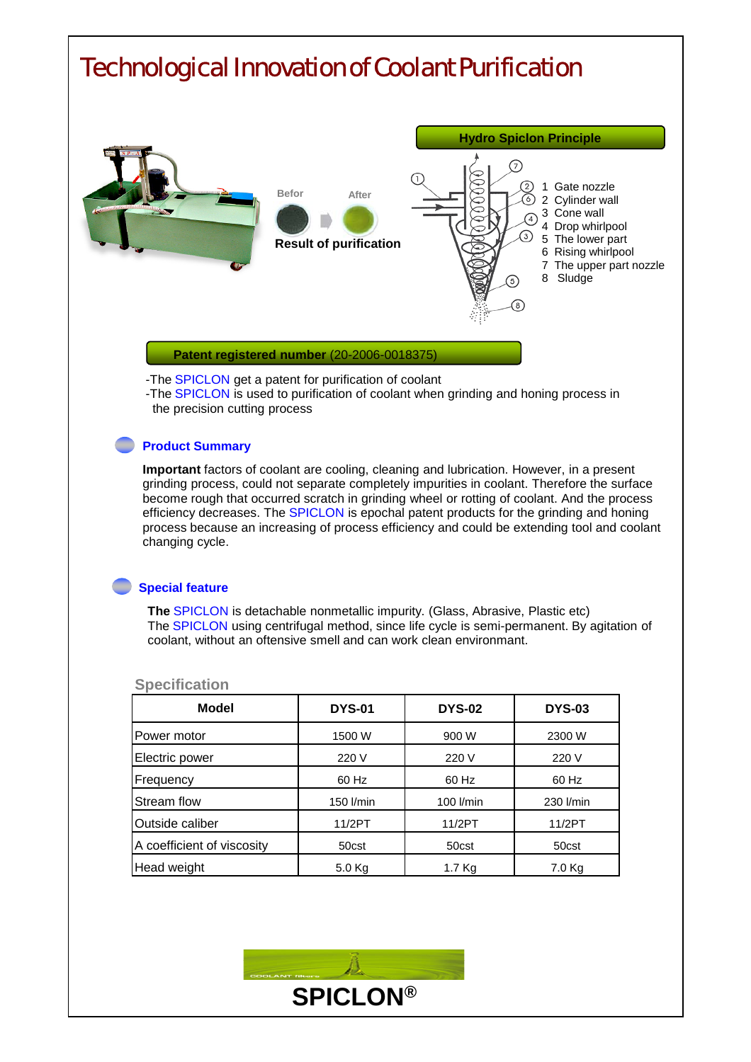

grinding process, could not separate completely impurities in coolant. Therefore the surface become rough that occurred scratch in grinding wheel or rotting of coolant. And the process efficiency decreases. The SPICLON is epochal patent products for the grinding and honing process because an increasing of process efficiency and could be extending tool and coolant changing cycle.

## **Special feature**

**The** SPICLON is detachable nonmetallic impurity. (Glass, Abrasive, Plastic etc) The SPICLON using centrifugal method, since life cycle is semi-permanent. By agitation of coolant, without an oftensive smell and can work clean environmant.

| <b>Model</b>               | <b>DYS-01</b> | <b>DYS-02</b> | <b>DYS-03</b> |
|----------------------------|---------------|---------------|---------------|
| Power motor                | 1500 W        | 900 W         | 2300 W        |
| Electric power             | 220 V         | 220 V         | 220 V         |
| Frequency                  | 60 Hz         | 60 Hz         | 60 Hz         |
| Stream flow                | 150 l/min     | 100 l/min     | 230 l/min     |
| Outside caliber            | 11/2PT        | 11/2PT        | 11/2PT        |
| A coefficient of viscosity | 50cst         | 50cst         | 50cst         |
| Head weight                | $5.0$ Kg      | 1.7 Kg        | 7.0 Kg        |

## **Specification**